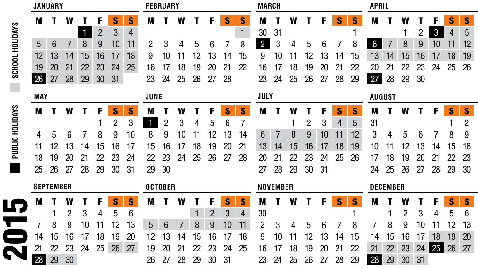|                 |            | <b>JANUARY</b>   |    |    |                |    |                | <b>FEBRUARY</b> |    |    |    |    |    |    |                | <b>MARCH</b>    |    |    |    |    |    |    |                 | <b>APRIL</b>  |    |              |    |                |  |  |  |
|-----------------|------------|------------------|----|----|----------------|----|----------------|-----------------|----|----|----|----|----|----|----------------|-----------------|----|----|----|----|----|----|-----------------|---------------|----|--------------|----|----------------|--|--|--|
|                 | M          |                  | W  |    | F              | S  | S              | M               |    | W  |    | F  | S  | S  | М              |                 | W  |    |    | S  | S  | M  |                 | W             |    |              | S  | S              |  |  |  |
| SCHOOL HOLIDAYS |            |                  |    |    | $\overline{2}$ | 3  | $\overline{4}$ |                 |    |    |    |    |    | 1  | 30             | 31              |    |    |    |    |    |    |                 |               |    | $\mathbf{3}$ | 4  | 5              |  |  |  |
|                 | 5          | 6                |    | 8  | 9              | 10 | 11             | 2               | 3  | 4  | 5  | 6  |    | 8  | $\overline{2}$ | 3               | 4  | 5  | 6  |    | 8  | 6  |                 | 8             | 9  | 10           | 11 | 12             |  |  |  |
|                 | 12         | 13               | 14 | 15 | 16             | 17 | 18             | 9               | 10 |    |    | 13 | 14 | 15 | 9              | 10              |    |    | 13 | 14 | 15 | 13 | 14              | 15            | 16 | 17           | 18 | 19             |  |  |  |
|                 | 19         | 20               | 21 | 22 | 23             | 24 | 25             | 16              |    | 18 | 19 | 20 | 21 | 22 | 16             | 17              | 18 | 19 | 20 | 21 | 22 | 20 | 21              | 22            | 23 | 24           | 25 | 26             |  |  |  |
|                 | 26         | 27               | 28 | 29 | 30             | 31 |                | 23              | 24 | 25 | 26 | 27 | 28 |    | 23             | 24              | 25 | 26 | 27 | 28 | 29 | 27 | 28              | 29            | 30 |              |    |                |  |  |  |
|                 | <b>MAY</b> |                  |    |    |                |    |                | <b>JUNE</b>     |    |    |    |    |    |    |                | JULY            |    |    |    |    |    |    |                 | <b>AUGUST</b> |    |              |    |                |  |  |  |
|                 | M          |                  | W  |    | F              | S  | S              | M               |    | W  |    | F  | S  | S  | M              |                 | W  |    | F  | S  | S  | M  |                 | W             |    | F            | S  | S              |  |  |  |
| PUBLIC HOLIDAYS |            |                  |    |    |                | 2  | 3              | 1               | 2  | 3  |    | 5  | 6  |    |                |                 |    | 2  | 3  | 4  | 5  | 31 |                 |               |    |              |    | $\overline{c}$ |  |  |  |
|                 | 4          | 5                | 6  |    | 8              | 9  | 10             | 8               | 9  | 10 |    | 12 | 13 | 14 | 6              |                 | 8  | 9  | 10 | 11 | 12 | 3  | 4               | 5             | 6  |              | 8  | 9              |  |  |  |
|                 | 11         | 12               | 13 | 14 | 15             | 16 | 17             | 15              | 16 | 17 | 18 | 19 | 20 | 21 | 13             | 14              | 15 | 16 | 17 | 18 | 19 | 10 |                 |               | 13 | 14           | 15 | 16             |  |  |  |
|                 | 18         | 19               | 20 |    | 22             | 23 | 24             | 22              | 23 | 24 | 25 | 26 | 27 | 28 | 20             | 21              |    | 23 | 24 | 25 | 26 | 17 | 18              | 19            | 20 | 21           | 22 | 23             |  |  |  |
|                 | 25         | 26               | 27 | 28 | 29             | 30 | 31             | 29              | 30 |    |    |    |    |    | 27             | 28              | 29 | 30 | 31 |    |    | 24 | 25              | 26            | 27 | 28           | 29 | 30             |  |  |  |
|                 |            | <b>SEPTEMBER</b> |    |    |                |    |                | <b>OCTOBER</b>  |    |    |    |    |    |    |                | <b>NOVEMBER</b> |    |    |    |    |    |    | <b>DECEMBER</b> |               |    |              |    |                |  |  |  |
| LF              | M          |                  | W  |    | F              | S  | S              | M               |    | W  |    | F  | S  | S  | M              |                 | W  |    | F  | S  | S  | M  |                 |               |    | F            | S  | S              |  |  |  |
|                 |            |                  | 2  |    | 4              | 5  | 6              |                 |    |    |    | 2  | 3  | 4  | 30             |                 |    |    |    |    |    |    |                 | 2             | 3  | 4            | 5  | 6              |  |  |  |
|                 |            | 8                | 9  | 10 |                |    | 13             | 5               | 6  |    | 8  | 9  |    | 11 | 2              | 3               | 4  | 5  | 6  |    | 8  |    | 8               | 9             | 10 |              | 12 | 13             |  |  |  |
|                 | 14         | 15               | 16 | 17 | 18             | 19 | 20             | 12              | 13 | 14 | 15 | 16 |    | 18 | 9              | 10              |    |    | l3 | 14 | 15 | 14 | 15              | 16            |    | 18           | 19 | 20             |  |  |  |
|                 | 21         | 22               | 23 | 24 | 25             | 26 | 27             | 19              | 20 |    |    | 23 | 24 | 25 | 16             | 17              | 18 | 19 | 20 | 21 | 22 | 21 | 22              | 23            | 24 | 25           | 26 | 27             |  |  |  |
|                 | 28         | 29               | 30 |    |                |    |                | 26              | 27 | 28 | 29 | 30 | 31 |    | 23             | 24              | 25 | 26 | 27 | 28 | 29 | 28 | 29              | 30            | 31 |              |    |                |  |  |  |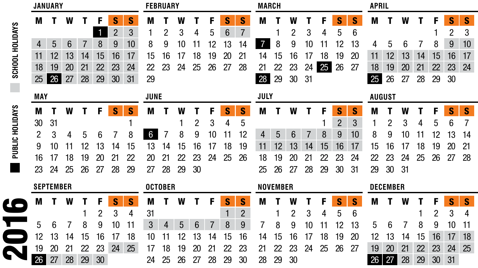|                        | <b>JANUARY</b>   |    |    |    |    |                |    |                |    | <b>FEBRUARY</b> |    |    |    |                |                 |    |    | <b>MARCH</b> |    |                |    |                 |    |    |    | <b>APRIL</b>    |    |    |  |  |  |  |  |
|------------------------|------------------|----|----|----|----|----------------|----|----------------|----|-----------------|----|----|----|----------------|-----------------|----|----|--------------|----|----------------|----|-----------------|----|----|----|-----------------|----|----|--|--|--|--|--|
|                        | M                |    | W  |    | F  | S              | S  | M              |    | W               |    | F  | S  | S              | M               |    | W  |              |    | S              | S  | M               |    | W  |    | F               | S  | S  |  |  |  |  |  |
|                        |                  |    |    |    |    | $\overline{2}$ | 3  |                |    | 3               | 4  | 5  | 6  | $\overline{7}$ |                 |    | 2  | 3            |    | 5              | 6  |                 |    |    |    |                 | 2  | 3  |  |  |  |  |  |
|                        | 4                | 5  | 6  |    | 8  | 9              | 10 | 8              | 9  | 10              | 11 | 12 | 13 | 14             | 7               | 8  | 9  | 10           | 11 | 12             | 13 | 4               | 5  | 6  |    | 8               | 9  | 10 |  |  |  |  |  |
| <b>SCHOOL HOLIDAYS</b> | 11               | 12 | 13 | 14 | 15 | 16             | 17 | 15             | 16 |                 | 18 | 19 | 20 | 21             | 14              | 15 | 16 | 17           | 18 | 19             | 20 | 11              | 12 | 13 | 14 | 15              | 16 | 17 |  |  |  |  |  |
|                        | 18               | 19 | 20 | 21 | 22 | 23             | 24 | 22             | 23 | 24              | 25 | 26 | 27 | 28             | 21              | 22 | 23 | 24           | 25 | 26             | 27 | 18              | 19 | 20 | 21 | 22              | 23 | 24 |  |  |  |  |  |
|                        | 25               | 26 | 27 | 28 | 29 | 30             | 31 | 29             |    |                 |    |    |    |                | 28              | 29 | 30 | 31           |    |                |    | 25              | 26 | 27 | 28 | 29              | 30 |    |  |  |  |  |  |
|                        | <b>MAY</b>       |    |    |    |    |                |    | <b>JUNE</b>    |    |                 |    |    |    |                | JULY            |    |    |              |    |                |    | <b>AUGUST</b>   |    |    |    |                 |    |    |  |  |  |  |  |
| PUBLIC HOLIDAYS        | M                |    | W  |    | F  | S              | S  | M              |    | W               |    | F  | S  | S              | M               |    | W  |              | F  | S              | S  | M               |    | W  |    | F               | S  | S  |  |  |  |  |  |
|                        | 30               | 31 |    |    |    |                |    |                |    |                 |    | 3  | 4  | 5              |                 |    |    |              |    | $\overline{2}$ | 3  |                 |    |    |    | 5               | 6  |    |  |  |  |  |  |
|                        | 2                | 3  |    | 5  | 6  |                | 8  | 6              |    | 8               | 9  | 10 |    | 12             | 4               | 5  | 6  |              | 8  | 9              | 10 | 8               | 9  | 10 |    | 12              | 13 | 14 |  |  |  |  |  |
|                        | 9                | 10 |    |    | 13 | 14             | 15 | 13             | 14 | 15              | 16 | 17 | 18 | 19             | 11              | 12 | 13 | 14           | 15 | 16             | 17 | 15              | 16 |    | 18 | 19              | 20 | 21 |  |  |  |  |  |
|                        | 16               | 17 | 18 | 19 | 20 | 21             | 22 | 20             | 21 | 22              | 23 | 24 | 25 | 26             | 18              | 19 | 20 | 21           | 22 | 23             | 24 | 22              | 23 | 24 | 25 | 26              | 27 | 28 |  |  |  |  |  |
|                        | 23               | 24 | 25 | 26 | 27 | 28             | 29 | 27             | 28 | 29              | 30 |    |    |                | 25              | 26 | 27 | 28           | 29 | 30             | 31 | 29              | 30 | 31 |    |                 |    |    |  |  |  |  |  |
|                        | <b>SEPTEMBER</b> |    |    |    |    |                |    | <b>OCTOBER</b> |    |                 |    |    |    |                | <b>NOVEMBER</b> |    |    |              |    |                |    | <b>DECEMBER</b> |    |    |    |                 |    |    |  |  |  |  |  |
| U-                     | M                |    | W  |    | F  | S              | S  | M              |    | W               |    | F  | S  | S              | M               |    |    |              |    | S              | S  | M               |    | W  |    | F               | S  | S  |  |  |  |  |  |
|                        |                  |    |    |    | 2  | 3              | 4  | 31             |    |                 |    |    |    | $\overline{2}$ |                 |    | 2  | 3            | 4  | 5              | 6  |                 |    |    |    | 2               | 3  | 4  |  |  |  |  |  |
|                        | 5                | 6  |    | 8  | 9  | 10             | 11 | 3              |    | 5               | 6  |    | 8  | 9              |                 | 8  | 9  | 10           |    | 2              | 13 | 5               | 6  |    | 8  | 9               | 10 | 11 |  |  |  |  |  |
|                        | 12               | l3 | 14 | 15 | 16 |                | 18 | 10             |    | 12              | 13 | 14 | 15 | 16             | 14              | 15 | 16 |              | 18 | 19             | 20 | 12              | 13 | 14 | 15 | 16              |    | 18 |  |  |  |  |  |
|                        | 19               | 20 | 21 | 22 | 23 | 24             | 25 | 17             | 18 | 19              | 20 | 21 | 22 | 23             | 21              | 22 | 23 | 24           | 25 | 26             | 27 | 19              | 20 | 21 | 22 | 23              | 24 | 25 |  |  |  |  |  |
|                        | 26               | 27 | 28 | 29 | 30 |                |    | 24             | 25 | 26              | 27 | 28 | 29 | 30             | 28              | 29 | 30 |              |    |                |    | 26              | 27 | 28 | 29 | 30 <sup>°</sup> | 31 |    |  |  |  |  |  |